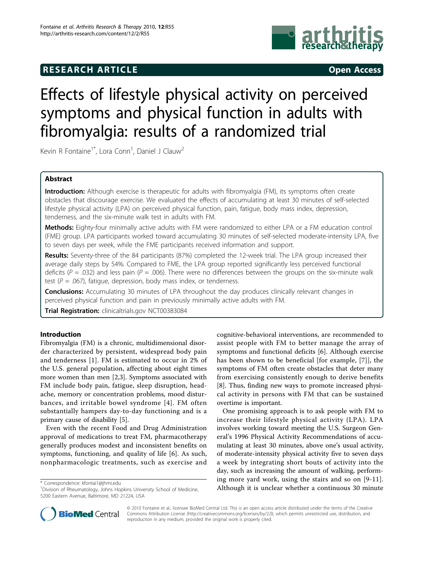## **RESEARCH ARTICLE Example 2014 CONSIDERING CONSIDERING CONSIDERING CONSIDERING CONSIDERING CONSIDERING CONSIDERING CONSIDERING CONSIDERING CONSIDERING CONSIDERING CONSIDERING CONSIDERING CONSIDERING CONSIDERING CONSIDE**



# Effects of lifestyle physical activity on perceived symptoms and physical function in adults with fibromyalgia: results of a randomized trial

Kevin R Fontaine<sup>1\*</sup>, Lora Conn<sup>1</sup>, Daniel J Clauw<sup>2</sup>

## Abstract

Introduction: Although exercise is therapeutic for adults with fibromyalgia (FM), its symptoms often create obstacles that discourage exercise. We evaluated the effects of accumulating at least 30 minutes of self-selected lifestyle physical activity (LPA) on perceived physical function, pain, fatigue, body mass index, depression, tenderness, and the six-minute walk test in adults with FM.

Methods: Eighty-four minimally active adults with FM were randomized to either LPA or a FM education control (FME) group. LPA participants worked toward accumulating 30 minutes of self-selected moderate-intensity LPA, five to seven days per week, while the FME participants received information and support.

Results: Seventy-three of the 84 participants (87%) completed the 12-week trial. The LPA group increased their average daily steps by 54%. Compared to FME, the LPA group reported significantly less perceived functional deficits ( $P = .032$ ) and less pain ( $P = .006$ ). There were no differences between the groups on the six-minute walk test ( $P = .067$ ), fatigue, depression, body mass index, or tenderness.

**Conclusions:** Accumulating 30 minutes of LPA throughout the day produces clinically relevant changes in perceived physical function and pain in previously minimally active adults with FM.

Trial Registration: clinicaltrials.gov NCT00383084

## Introduction

Fibromyalgia (FM) is a chronic, multidimensional disorder characterized by persistent, widespread body pain and tenderness [\[1](#page-7-0)]. FM is estimated to occur in 2% of the U.S. general population, affecting about eight times more women than men [[2,3\]](#page-7-0). Symptoms associated with FM include body pain, fatigue, sleep disruption, headache, memory or concentration problems, mood disturbances, and irritable bowel syndrome [[4](#page-7-0)]. FM often substantially hampers day-to-day functioning and is a primary cause of disability [[5\]](#page-7-0).

Even with the recent Food and Drug Administration approval of medications to treat FM, pharmacotherapy generally produces modest and inconsistent benefits on symptoms, functioning, and quality of life [[6\]](#page-7-0). As such, nonpharmacologic treatments, such as exercise and

cognitive-behavioral interventions, are recommended to assist people with FM to better manage the array of symptoms and functional deficits [[6\]](#page-7-0). Although exercise has been shown to be beneficial [for example, [[7\]](#page-7-0)], the symptoms of FM often create obstacles that deter many from exercising consistently enough to derive benefits [[8\]](#page-7-0). Thus, finding new ways to promote increased physical activity in persons with FM that can be sustained overtime is important.

One promising approach is to ask people with FM to increase their lifestyle physical activity (LPA). LPA involves working toward meeting the U.S. Surgeon General's 1996 Physical Activity Recommendations of accumulating at least 30 minutes, above one's usual activity, of moderate-intensity physical activity five to seven days a week by integrating short bouts of activity into the day, such as increasing the amount of walking, performing more yard work, using the stairs and so on [[9](#page-7-0)-[11](#page-8-0)]. A Correspondence: [kfontai1@jhmi.edu](mailto:kfontai1@jhmi.edu)<br>Although it is unclear whether a continuous 30 minute \* Correspondence: "Division of Rheumatology, Johns Hopkins University School of Medicine, Although it is unclear whether a continuou



© 2010 Fontaine et al.; licensee BioMed Central Ltd. This is an open access article distributed under the terms of the Creative Commons Attribution License [\(http://creativecommons.org/licenses/by/2.0](http://creativecommons.org/licenses/by/2.0)), which permits unrestricted use, distribution, and reproduction in any medium, provided the original work is properly cited.

<sup>&</sup>lt;sup>1</sup> Division of Rheumatology, Johns Hopkins University School of Medicine, 5200 Eastern Avenue, Baltimore, MD 21224, USA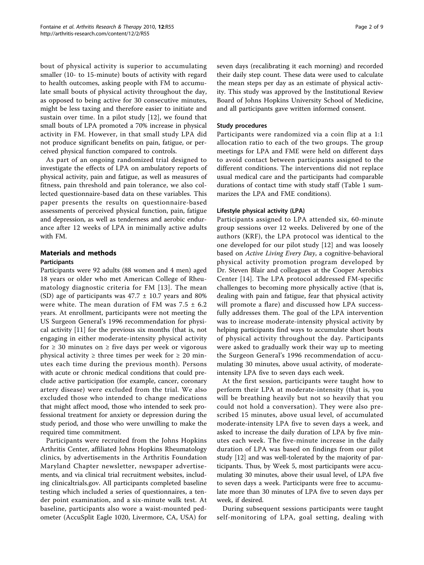bout of physical activity is superior to accumulating smaller (10- to 15-minute) bouts of activity with regard to health outcomes, asking people with FM to accumulate small bouts of physical activity throughout the day, as opposed to being active for 30 consecutive minutes, might be less taxing and therefore easier to initiate and sustain over time. In a pilot study [[12\]](#page-8-0), we found that small bouts of LPA promoted a 70% increase in physical activity in FM. However, in that small study LPA did not produce significant benefits on pain, fatigue, or perceived physical function compared to controls.

As part of an ongoing randomized trial designed to investigate the effects of LPA on ambulatory reports of physical activity, pain and fatigue, as well as measures of fitness, pain threshold and pain tolerance, we also collected questionnaire-based data on these variables. This paper presents the results on questionnaire-based assessments of perceived physical function, pain, fatigue and depression, as well as tenderness and aerobic endurance after 12 weeks of LPA in minimally active adults with FM.

## Materials and methods

## **Participants**

Participants were 92 adults (88 women and 4 men) aged 18 years or older who met American College of Rheumatology diagnostic criteria for FM [[13\]](#page-8-0). The mean (SD) age of participants was 47.7 ± 10.7 years and 80% were white. The mean duration of FM was  $7.5 \pm 6.2$ years. At enrollment, participants were not meeting the US Surgeon General's 1996 recommendation for physical activity [\[11](#page-8-0)] for the previous six months (that is, not engaging in either moderate-intensity physical activity for  $\geq$  30 minutes on  $\geq$  five days per week or vigorous physical activity ≥ three times per week for  $≥ 20$  minutes each time during the previous month). Persons with acute or chronic medical conditions that could preclude active participation (for example, cancer, coronary artery disease) were excluded from the trial. We also excluded those who intended to change medications that might affect mood, those who intended to seek professional treatment for anxiety or depression during the study period, and those who were unwilling to make the required time commitment.

Participants were recruited from the Johns Hopkins Arthritis Center, affiliated Johns Hopkins Rheumatology clinics, by advertisements in the Arthritis Foundation Maryland Chapter newsletter, newspaper advertisements, and via clinical trial recruitment websites, including clinicaltrials.gov. All participants completed baseline testing which included a series of questionnaires, a tender point examination, and a six-minute walk test. At baseline, participants also wore a waist-mounted pedometer (AccuSplit Eagle 1020, Livermore, CA, USA) for seven days (recalibrating it each morning) and recorded their daily step count. These data were used to calculate the mean steps per day as an estimate of physical activity. This study was approved by the Institutional Review Board of Johns Hopkins University School of Medicine, and all participants gave written informed consent.

## Study procedures

Participants were randomized via a coin flip at a 1:1 allocation ratio to each of the two groups. The group meetings for LPA and FME were held on different days to avoid contact between participants assigned to the different conditions. The interventions did not replace usual medical care and the participants had comparable durations of contact time with study staff (Table [1](#page-2-0) summarizes the LPA and FME conditions).

## Lifestyle physical activity (LPA)

Participants assigned to LPA attended six, 60-minute group sessions over 12 weeks. Delivered by one of the authors (KRF), the LPA protocol was identical to the one developed for our pilot study [[12](#page-8-0)] and was loosely based on Active Living Every Day, a cognitive-behavioral physical activity promotion program developed by Dr. Steven Blair and colleagues at the Cooper Aerobics Center [[14\]](#page-8-0). The LPA protocol addressed FM-specific challenges to becoming more physically active (that is, dealing with pain and fatigue, fear that physical activity will promote a flare) and discussed how LPA successfully addresses them. The goal of the LPA intervention was to increase moderate-intensity physical activity by helping participants find ways to accumulate short bouts of physical activity throughout the day. Participants were asked to gradually work their way up to meeting the Surgeon General's 1996 recommendation of accumulating 30 minutes, above usual activity, of moderateintensity LPA five to seven days each week.

At the first session, participants were taught how to perform their LPA at moderate-intensity (that is, you will be breathing heavily but not so heavily that you could not hold a conversation). They were also prescribed 15 minutes, above usual level, of accumulated moderate-intensity LPA five to seven days a week, and asked to increase the daily duration of LPA by five minutes each week. The five-minute increase in the daily duration of LPA was based on findings from our pilot study [[12\]](#page-8-0) and was well-tolerated by the majority of participants. Thus, by Week 5, most participants were accumulating 30 minutes, above their usual level, of LPA five to seven days a week. Participants were free to accumulate more than 30 minutes of LPA five to seven days per week, if desired.

During subsequent sessions participants were taught self-monitoring of LPA, goal setting, dealing with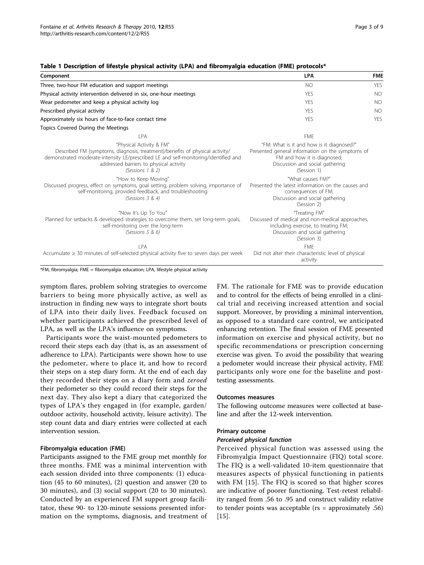## <span id="page-2-0"></span>Table 1 Description of lifestyle physical activity (LPA) and fibromyalgia education (FME) protocols\*

| Component                                                                                                                                                                                                                                                      | <b>LPA</b>                                                                                                                                                                     | <b>FME</b>      |
|----------------------------------------------------------------------------------------------------------------------------------------------------------------------------------------------------------------------------------------------------------------|--------------------------------------------------------------------------------------------------------------------------------------------------------------------------------|-----------------|
| Three, two-hour FM education and support meetings                                                                                                                                                                                                              | NO                                                                                                                                                                             | <b>YES</b>      |
| Physical activity intervention delivered in six, one-hour meetings                                                                                                                                                                                             | <b>YES</b>                                                                                                                                                                     | <b>NO</b>       |
| Wear pedometer and keep a physical activity log                                                                                                                                                                                                                | <b>YFS</b>                                                                                                                                                                     | <b>NO</b>       |
| Prescribed physical activity                                                                                                                                                                                                                                   | <b>YFS</b>                                                                                                                                                                     | NO <sub>1</sub> |
| Approximately six hours of face-to-face contact time                                                                                                                                                                                                           | <b>YFS</b>                                                                                                                                                                     | <b>YFS</b>      |
| Topics Covered During the Meetings                                                                                                                                                                                                                             |                                                                                                                                                                                |                 |
| <b>IPA</b>                                                                                                                                                                                                                                                     | <b>FMF</b>                                                                                                                                                                     |                 |
| "Physical Activity & FM"<br>Described FM (symptoms, diagnosis, treatment)/benefits of physical activity/<br>demonstrated moderate-intensity LE/prescribed LE and self-monitoring/identified and<br>addressed barriers to physical activity<br>(Sessions 1 & 2) | "FM: What is it and how is it diagnosed?"<br>Presented general information on the symptoms of<br>FM and how it is diagnosed;<br>Discussion and social gathering<br>(Session 1) |                 |
| "How to Keep Moving"<br>Discussed progress, effect on symptoms, goal setting, problem solving, importance of<br>self-monitoring, provided feedback, and troubleshooting<br>(Sessions 3 & 4)                                                                    | "What causes FM?"<br>Presented the latest information on the causes and<br>consequences of FM;<br>Discussion and social gathering<br>(Session 2)                               |                 |
| "Now It's Up To You"<br>Planned for setbacks & developed strategies to overcome them, set long-term goals,<br>self-monitoring over the long-term<br>(Sessions $5 & 6$ )                                                                                        | "Treating FM"<br>Discussed of medical and non-medical approaches,<br>including exercise, to treating FM;<br>Discussion and social gathering<br>(Session 3)                     |                 |
| <b>IPA</b><br>Accumulate $\geq 30$ minutes of self-selected physical activity five to seven days per week                                                                                                                                                      | <b>FMF</b><br>Did not alter their characteristic level of physical<br>activity                                                                                                 |                 |

\*FM, fibromyalgia; FME = fibromyalgia education; LPA, lifestyle physical activity

symptom flares, problem solving strategies to overcome barriers to being more physically active, as well as instruction in finding new ways to integrate short bouts of LPA into their daily lives. Feedback focused on whether participants achieved the prescribed level of LPA, as well as the LPA's influence on symptoms.

Participants wore the waist-mounted pedometers to record their steps each day (that is, as an assessment of adherence to LPA). Participants were shown how to use the pedometer, where to place it, and how to record their steps on a step diary form. At the end of each day they recorded their steps on a diary form and zeroed their pedometer so they could record their steps for the next day. They also kept a diary that categorized the types of LPA's they engaged in (for example, garden/ outdoor activity, household activity, leisure activity). The step count data and diary entries were collected at each intervention session.

## Fibromyalgia education (FME)

Participants assigned to the FME group met monthly for three months. FME was a minimal intervention with each session divided into three components: (1) education (45 to 60 minutes), (2) question and answer (20 to 30 minutes), and (3) social support (20 to 30 minutes). Conducted by an experienced FM support group facilitator, these 90- to 120-minute sessions presented information on the symptoms, diagnosis, and treatment of FM. The rationale for FME was to provide education and to control for the effects of being enrolled in a clinical trial and receiving increased attention and social support. Moreover, by providing a minimal intervention, as opposed to a standard care control, we anticipated enhancing retention. The final session of FME presented information on exercise and physical activity, but no specific recommendations or prescription concerning exercise was given. To avoid the possibility that wearing a pedometer would increase their physical activity, FME participants only wore one for the baseline and posttesting assessments.

#### Outcomes measures

The following outcome measures were collected at baseline and after the 12-week intervention.

#### Primary outcome

#### Perceived physical function

Perceived physical function was assessed using the Fibromyalgia Impact Questionnaire (FIQ) total score. The FIQ is a well-validated 10-item questionnaire that measures aspects of physical functioning in patients with FM [[15](#page-8-0)]. The FIQ is scored so that higher scores are indicative of poorer functioning. Test-retest reliability ranged from .56 to .95 and construct validity relative to tender points was acceptable (rs = approximately .56)  $[15]$  $[15]$ .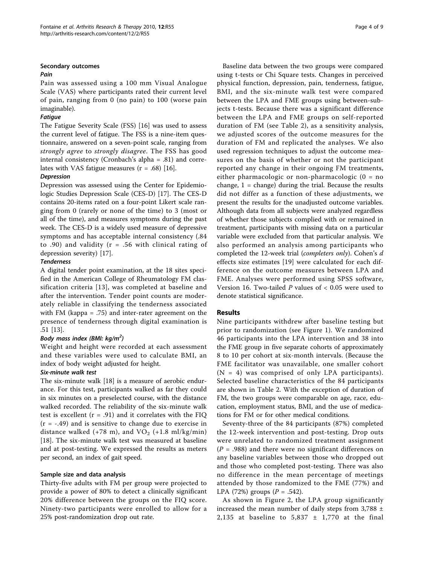## Secondary outcomes

## Pain

Pain was assessed using a 100 mm Visual Analogue Scale (VAS) where participants rated their current level of pain, ranging from 0 (no pain) to 100 (worse pain imaginable).

## Fatigue

The Fatigue Severity Scale (FSS) [[16\]](#page-8-0) was used to assess the current level of fatigue. The FSS is a nine-item questionnaire, answered on a seven-point scale, ranging from strongly agree to strongly disagree. The FSS has good internal consistency (Cronbach's alpha = .81) and correlates with VAS fatigue measures  $(r = .68)$  [\[16\]](#page-8-0).

## Depression

Depression was assessed using the Center for Epidemiologic Studies Depression Scale (CES-D) [[17\]](#page-8-0). The CES-D contains 20-items rated on a four-point Likert scale ranging from 0 (rarely or none of the time) to 3 (most or all of the time), and measures symptoms during the past week. The CES-D is a widely used measure of depressive symptoms and has acceptable internal consistency (.84 to .90) and validity ( $r = .56$  with clinical rating of depression severity) [[17](#page-8-0)].

## Tenderness

A digital tender point examination, at the 18 sites specified in the American College of Rheumatology FM classification criteria [[13\]](#page-8-0), was completed at baseline and after the intervention. Tender point counts are moderately reliable in classifying the tenderness associated with FM (kappa = .75) and inter-rater agreement on the presence of tenderness through digital examination is .51 [[13\]](#page-8-0).

## Body mass index (BMI: kg/m<sup>2</sup>)

Weight and height were recorded at each assessment and these variables were used to calculate BMI, an index of body weight adjusted for height.

## Six-minute walk test

The six-minute walk [\[18\]](#page-8-0) is a measure of aerobic endurance. For this test, participants walked as far they could in six minutes on a preselected course, with the distance walked recorded. The reliability of the six-minute walk test is excellent  $(r = .91)$  and it correlates with the FIQ  $(r = -.49)$  and is sensitive to change due to exercise in distance walked (+78 m), and  $VO_2$  (+1.8 ml/kg/min) [[18\]](#page-8-0). The six-minute walk test was measured at baseline and at post-testing. We expressed the results as meters per second, an index of gait speed.

### Sample size and data analysis

Thirty-five adults with FM per group were projected to provide a power of 80% to detect a clinically significant 20% difference between the groups on the FIQ score. Ninety-two participants were enrolled to allow for a 25% post-randomization drop out rate.

Baseline data between the two groups were compared using t-tests or Chi Square tests. Changes in perceived physical function, depression, pain, tenderness, fatigue, BMI, and the six-minute walk test were compared between the LPA and FME groups using between-subjects t-tests. Because there was a significant difference between the LPA and FME groups on self-reported duration of FM (see Table [2\)](#page-4-0), as a sensitivity analysis, we adjusted scores of the outcome measures for the duration of FM and replicated the analyses. We also used regression techniques to adjust the outcome measures on the basis of whether or not the participant reported any change in their ongoing FM treatments, either pharmacologic or non-pharmacologic (0 = no change,  $1 =$  change) during the trial. Because the results did not differ as a function of these adjustments, we present the results for the unadjusted outcome variables. Although data from all subjects were analyzed regardless of whether those subjects complied with or remained in treatment, participants with missing data on a particular variable were excluded from that particular analysis. We also performed an analysis among participants who completed the 12-week trial (completers only). Cohen's d effects size estimates [[19](#page-8-0)] were calculated for each difference on the outcome measures between LPA and FME. Analyses were performed using SPSS software, Version 16. Two-tailed  $P$  values of  $< 0.05$  were used to denote statistical significance.

## Results

Nine participants withdrew after baseline testing but prior to randomization (see Figure [1\)](#page-5-0). We randomized 46 participants into the LPA intervention and 38 into the FME group in five separate cohorts of approximately 8 to 10 per cohort at six-month intervals. (Because the FME facilitator was unavailable, one smaller cohort  $(N = 4)$  was comprised of only LPA participants). Selected baseline characteristics of the 84 participants are shown in Table [2.](#page-4-0) With the exception of duration of FM, the two groups were comparable on age, race, education, employment status, BMI, and the use of medications for FM or for other medical conditions.

Seventy-three of the 84 participants (87%) completed the 12-week intervention and post-testing. Drop outs were unrelated to randomized treatment assignment  $(P = .988)$  and there were no significant differences on any baseline variables between those who dropped out and those who completed post-testing. There was also no difference in the mean percentage of meetings attended by those randomized to the FME (77%) and LPA (72%) groups ( $P = .542$ ).

As shown in Figure [2](#page-5-0), the LPA group significantly increased the mean number of daily steps from 3,788 ± 2,135 at baseline to  $5,837 \pm 1,770$  at the final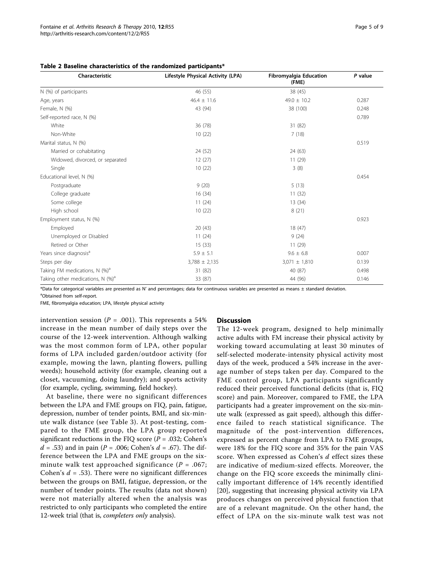<span id="page-4-0"></span>

| Characteristic                               | Lifestyle Physical Activity (LPA) | Fibromyalgia Education<br>(FME) | P value |
|----------------------------------------------|-----------------------------------|---------------------------------|---------|
| N (%) of participants                        | 46 (55)                           | 38 (45)                         |         |
| Age, years                                   | $46.4 \pm 11.6$                   | $49.0 \pm 10.2$                 | 0.287   |
| Female, N (%)                                | 43 (94)                           | 38 (100)                        | 0.248   |
| Self-reported race, N (%)                    |                                   |                                 | 0.789   |
| White                                        | 36 (78)                           | 31 (82)                         |         |
| Non-White                                    | 10(22)                            | 7(18)                           |         |
| Marital status, N (%)                        |                                   |                                 | 0.519   |
| Married or cohabitating                      | 24 (52)                           | 24 (63)                         |         |
| Widowed, divorced, or separated              | 12(27)                            | 11(29)                          |         |
| Single                                       | 10(22)                            | 3(8)                            |         |
| Educational level, N (%)                     |                                   |                                 | 0.454   |
| Postgraduate                                 | 9(20)                             | 5(13)                           |         |
| College graduate                             | 16(34)                            | 11(32)                          |         |
| Some college                                 | 11(24)                            | 13 (34)                         |         |
| High school                                  | 10(22)                            | 8(21)                           |         |
| Employment status, N (%)                     |                                   |                                 | 0.923   |
| Employed                                     | 20(43)                            | 18 (47)                         |         |
| Unemployed or Disabled                       | 11(24)                            | 9(24)                           |         |
| Retired or Other                             | 15(33)                            | 11(29)                          |         |
| Years since diagnosis <sup>a</sup>           | $5.9 \pm 5.1$                     | $9.6 \pm 6.8$                   | 0.007   |
| Steps per day                                | $3,788 \pm 2,135$                 | $3,071 \pm 1,810$               | 0.139   |
| Taking FM medications, N (%) <sup>a</sup>    | 31 (82)                           | 40 (87)                         | 0.498   |
| Taking other medications, N (%) <sup>a</sup> | 33 (87)                           | 44 (96)                         | 0.146   |

\*Data for categorical variables are presented as N' and percentages; data for continuous variables are presented as means ± standard deviation.

<sup>a</sup>Obtained from self-report.

FME, fibromyalgia education; LPA, lifestyle physical activity

intervention session ( $P = .001$ ). This represents a 54% increase in the mean number of daily steps over the course of the 12-week intervention. Although walking was the most common form of LPA, other popular forms of LPA included garden/outdoor activity (for example, mowing the lawn, planting flowers, pulling weeds); household activity (for example, cleaning out a closet, vacuuming, doing laundry); and sports activity (for example, cycling, swimming, field hockey).

At baseline, there were no significant differences between the LPA and FME groups on FIQ, pain, fatigue, depression, number of tender points, BMI, and six-minute walk distance (see Table [3](#page-6-0)). At post-testing, compared to the FME group, the LPA group reported significant reductions in the FIQ score ( $P = .032$ ; Cohen's  $d = .53$ ) and in pain (P = .006; Cohen's  $d = .67$ ). The difference between the LPA and FME groups on the sixminute walk test approached significance ( $P = .067$ ; Cohen's  $d = .53$ ). There were no significant differences between the groups on BMI, fatigue, depression, or the number of tender points. The results (data not shown) were not materially altered when the analysis was restricted to only participants who completed the entire 12-week trial (that is, completers only analysis).

## **Discussion**

The 12-week program, designed to help minimally active adults with FM increase their physical activity by working toward accumulating at least 30 minutes of self-selected moderate-intensity physical activity most days of the week, produced a 54% increase in the average number of steps taken per day. Compared to the FME control group, LPA participants significantly reduced their perceived functional deficits (that is, FIQ score) and pain. Moreover, compared to FME, the LPA participants had a greater improvement on the six-minute walk (expressed as gait speed), although this difference failed to reach statistical significance. The magnitude of the post-intervention differences, expressed as percent change from LPA to FME groups, were 18% for the FIQ score and 35% for the pain VAS score. When expressed as Cohen's d effect sizes these are indicative of medium-sized effects. Moreover, the change on the FIQ score exceeds the minimally clinically important difference of 14% recently identified [[20\]](#page-8-0), suggesting that increasing physical activity via LPA produces changes on perceived physical function that are of a relevant magnitude. On the other hand, the effect of LPA on the six-minute walk test was not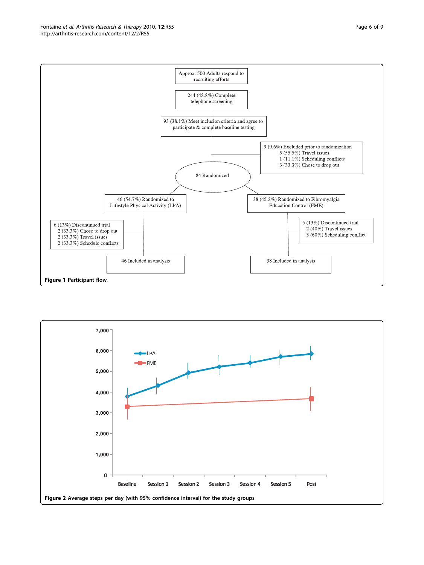<span id="page-5-0"></span>Fontaine et al. Arthritis Research & Therapy 2010, 12:R55 http://arthritis-research.com/content/12/2/R55



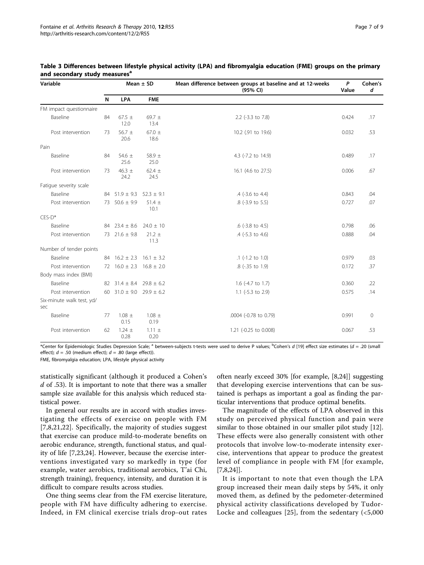| Variable                         | Mean $\pm$ SD |                                  |                    | Mean difference between groups at baseline and at 12-weeks<br>(95% CI) |       | Cohen's<br>d |
|----------------------------------|---------------|----------------------------------|--------------------|------------------------------------------------------------------------|-------|--------------|
|                                  |               | <b>LPA</b>                       | <b>FME</b>         |                                                                        |       |              |
| FM impact questionnaire          |               |                                  |                    |                                                                        |       |              |
| Baseline                         | 84            | 67.5 $\pm$<br>12.0               | 69.7 $\pm$<br>13.4 | 2.2 (-3.3 to 7.8)                                                      | 0.424 | .17          |
| Post intervention                | 73            | 56.7 $\pm$<br>20.6               | 67.0 $\pm$<br>18.6 | 10.2 (.91 to 19.6)                                                     | 0.032 | .53          |
| Pain                             |               |                                  |                    |                                                                        |       |              |
| Baseline                         | 84            | 54.6 $\pm$<br>25.6               | 58.9 $\pm$<br>25.0 | 4.3 (-7.2 to 14.9)                                                     | 0.489 | .17          |
| Post intervention                | 73            | 46.3 $\pm$<br>24.2               | 62.4 $\pm$<br>24.5 | 16.1 (4.6 to 27.5)                                                     | 0.006 | .67          |
| Fatigue severity scale           |               |                                  |                    |                                                                        |       |              |
| Baseline                         |               | $84$ 51.9 ± 9.3                  | $52.3 \pm 9.1$     | .4 (-3.6 to 4.4)                                                       | 0.843 | .04          |
| Post intervention                |               | 73 50.6 ± 9.9                    | $51.4 \pm$<br>10.1 | .8 (-3.9 to 5.5)                                                       | 0.727 | .07          |
| $CES-D^*$                        |               |                                  |                    |                                                                        |       |              |
| Baseline                         |               | $84$ 23.4 $\pm$ 8.6              | $24.0 \pm 10$      | .6 (-3.8 to 4.5)                                                       | 0.798 | .06          |
| Post intervention                |               | 73 $21.6 \pm 9.8$                | $21.2 \pm$<br>11.3 | .4 (-5.3 to 4.6)                                                       | 0.888 | .04          |
| Number of tender points          |               |                                  |                    |                                                                        |       |              |
| Baseline                         |               | $84$ 16.2 $\pm$ 2.3              | $16.1 \pm 3.2$     | $.1$ (-1.2 to 1.0)                                                     | 0.979 | .03          |
| Post intervention                |               | 72 $16.0 \pm 2.3$ $16.8 \pm 2.0$ |                    | .8 (-.35 to 1.9)                                                       | 0.172 | .37          |
| Body mass index (BMI)            |               |                                  |                    |                                                                        |       |              |
| Baseline                         |               | 82 $31.4 \pm 8.4$ 29.8 $\pm 6.2$ |                    | 1.6 (-4.7 to 1.7)                                                      | 0.360 | .22          |
| Post intervention                |               | 60 $31.0 \pm 9.0$ 29.9 $\pm 6.2$ |                    | 1.1 (-5.3 to 2.9)                                                      | 0.575 | .14          |
| Six-minute walk test, yd/<br>sec |               |                                  |                    |                                                                        |       |              |
| Baseline                         | 77            | $1.08 \pm$<br>0.15               | $1.08 \pm$<br>0.19 | .0004 (-0.78 to 0.79)                                                  | 0.991 | 0            |
| Post intervention                | 62            | $1.24 \pm$<br>0.28               | $1.11 \pm$<br>0.20 | 1.21 (-0.25 to 0.008)                                                  | 0.067 | .53          |

## <span id="page-6-0"></span>Table 3 Differences between lifestyle physical activity (LPA) and fibromyalgia education (FME) groups on the primary and secondary study measures<sup>a</sup>

\*Center for Epidemiologic Studies Depression Scale; <sup>a</sup> between-subjects t-tests were used to derive P values; <sup>b</sup>Cohen's d [\[19](#page-8-0)] effect size estimates (d = .20 (small effect);  $d = .50$  (medium effect);  $d = .80$  (large effect)).

FME, fibromyalgia education; LPA, lifestyle physical activity

statistically significant (although it produced a Cohen's  $d$  of .53). It is important to note that there was a smaller sample size available for this analysis which reduced statistical power.

In general our results are in accord with studies investigating the effects of exercise on people with FM [[7,8,](#page-7-0)[21,22](#page-8-0)]. Specifically, the majority of studies suggest that exercise can produce mild-to-moderate benefits on aerobic endurance, strength, functional status, and quality of life [[7](#page-7-0),[23](#page-8-0),[24](#page-8-0)]. However, because the exercise interventions investigated vary so markedly in type (for example, water aerobics, traditional aerobics, T'ai Chi, strength training), frequency, intensity, and duration it is difficult to compare results across studies.

One thing seems clear from the FM exercise literature, people with FM have difficulty adhering to exercise. Indeed, in FM clinical exercise trials drop-out rates

often nearly exceed 30% [for example, [\[8](#page-7-0)[,24](#page-8-0)]] suggesting that developing exercise interventions that can be sustained is perhaps as important a goal as finding the particular interventions that produce optimal benefits.

The magnitude of the effects of LPA observed in this study on perceived physical function and pain were similar to those obtained in our smaller pilot study [\[12](#page-8-0)]. These effects were also generally consistent with other protocols that involve low-to-moderate intensity exercise, interventions that appear to produce the greatest level of compliance in people with FM [for example, [[7,8,](#page-7-0)[24\]](#page-8-0)].

It is important to note that even though the LPA group increased their mean daily steps by 54%, it only moved them, as defined by the pedometer-determined physical activity classifications developed by Tudor-Locke and colleagues [[25\]](#page-8-0), from the sedentary (<5,000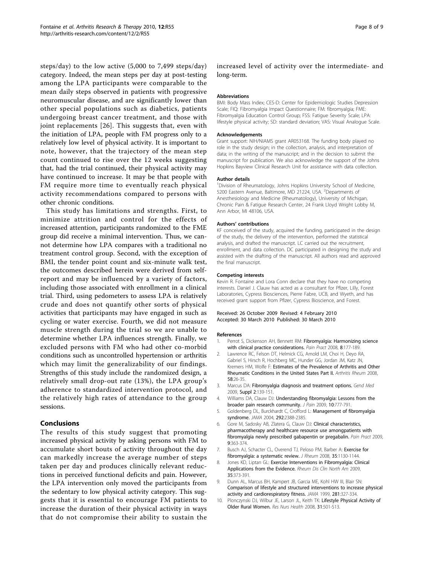<span id="page-7-0"></span>steps/day) to the low active (5,000 to 7,499 steps/day) category. Indeed, the mean steps per day at post-testing among the LPA participants were comparable to the mean daily steps observed in patients with progressive neuromuscular disease, and are significantly lower than other special populations such as diabetics, patients undergoing breast cancer treatment, and those with joint replacements [[26](#page-8-0)]. This suggests that, even with the initiation of LPA, people with FM progress only to a relatively low level of physical activity. It is important to note, however, that the trajectory of the mean step count continued to rise over the 12 weeks suggesting that, had the trial continued, their physical activity may have continued to increase. It may be that people with FM require more time to eventually reach physical activity recommendations compared to persons with other chronic conditions.

This study has limitations and strengths. First, to minimize attrition and control for the effects of increased attention, participants randomized to the FME group did receive a minimal intervention. Thus, we cannot determine how LPA compares with a traditional no treatment control group. Second, with the exception of BMI, the tender point count and six-minute walk test, the outcomes described herein were derived from selfreport and may be influenced by a variety of factors, including those associated with enrollment in a clinical trial. Third, using pedometers to assess LPA is relatively crude and does not quantify other sorts of physical activities that participants may have engaged in such as cycling or water exercise. Fourth, we did not measure muscle strength during the trial so we are unable to determine whether LPA influences strength. Finally, we excluded persons with FM who had other co-morbid conditions such as uncontrolled hypertension or arthritis which may limit the generalizability of our findings. Strengths of this study include the randomized design, a relatively small drop-out rate (13%), the LPA group's adherence to standardized intervention protocol, and the relatively high rates of attendance to the group sessions.

## Conclusions

The results of this study suggest that promoting increased physical activity by asking persons with FM to accumulate short bouts of activity throughout the day can markedly increase the average number of steps taken per day and produces clinically relevant reductions in perceived functional deficits and pain. However, the LPA intervention only moved the participants from the sedentary to low physical activity category. This suggests that it is essential to encourage FM patients to increase the duration of their physical activity in ways that do not compromise their ability to sustain the

increased level of activity over the intermediate- and long-term.

## Abbreviations

BMI: Body Mass Index; CES-D: Center for Epidemiologic Studies Depression Scale; FIQ: Fibromyalgia Impact Questionnaire; FM: fibromyalgia; FME: Fibromyalgia Education Control Group; FSS: Fatigue Severity Scale; LPA: lifestyle physical activity; SD: standard deviation; VAS: Visual Analogue Scale.

#### Acknowledgements

Grant support: NIH/NIAMS grant AR053168. The funding body played no role in the study design; in the collection, analysis, and interpretation of data; in the writing of the manuscript; and in the decision to submit the manuscript for publication. We also acknowledge the support of the Johns Hopkins Bayview Clinical Research Unit for assistance with data collection.

#### Author details

<sup>1</sup> Division of Rheumatology, Johns Hopkins University School of Medicine 5200 Eastern Avenue, Baltimore, MD 21224, USA. <sup>2</sup>Departments of Anesthesiology and Medicine (Rheumatology), University of Michigan, Chronic Pain & Fatigue Research Center, 24 Frank Lloyd Wright Lobby M, Ann Arbor, MI 48106, USA.

#### Authors' contributions

KF conceived of the study, acquired the funding, participated in the design of the study, the delivery of the intervention, performed the statistical analysis, and drafted the manuscript. LC carried out the recruitment, enrollment, and data collection. DC participated in designing the study and assisted with the drafting of the manuscript. All authors read and approved the final manuscript.

## Competing interests

Kevin R. Fontaine and Lora Conn declare that they have no competing interests. Daniel J. Clauw has acted as a consultant for Pfizer, Lilly, Forest Laboratories, Cypress Biosciences, Pierre Fabre, UCB, and Wyeth, and has received grant support from Pfizer, Cypress Bioscience, and Forest.

#### Received: 26 October 2009 Revised: 4 February 2010 Accepted: 30 March 2010 Published: 30 March 2010

#### References

- 1. Perrot S, Dickenson AH, Bennett RM: [Fibromyalgia: Harmonizing science](http://www.ncbi.nlm.nih.gov/pubmed/18363616?dopt=Abstract) [with clinical practice considerations.](http://www.ncbi.nlm.nih.gov/pubmed/18363616?dopt=Abstract) Pain Pract 2008, 8:177-189.
- 2. Lawrence RC, Felson DT, Helmick CG, Arnold LM, Choi H, Deyo RA, Gabriel S, Hirsch R, Hochberg MC, Hunder GG, Jordan JM, Katz JN, Kremers HM, Wolfe F: Estimates of the Prevalence of Arthritis and Other Rheumatic Conditions in the United States Part II. Arthritis Rheum 2008, 58:26-35.
- 3. Marcus DA: Fibromyalgia diagnosis and treatment options. Gend Med 2009, Suppl 2:139-151.
- 4. Williams DA, Clauw DJ: [Understanding fibromyalgia: Lessons from the](http://www.ncbi.nlm.nih.gov/pubmed/19638325?dopt=Abstract) [broader pain research community.](http://www.ncbi.nlm.nih.gov/pubmed/19638325?dopt=Abstract) J Pain 2009, 10:777-791.
- 5. Goldenberg DL, Burckhardt C, Crofford L: [Management of fibromyalgia](http://www.ncbi.nlm.nih.gov/pubmed/15547167?dopt=Abstract) [syndrome.](http://www.ncbi.nlm.nih.gov/pubmed/15547167?dopt=Abstract) JAMA 2004, 292:2388-2385.
- 6. Gore M, Sadosky AB, Zlatera G, Clauw DJ: [Clinical characteristics,](http://www.ncbi.nlm.nih.gov/pubmed/19500273?dopt=Abstract) [pharmacotherapy and healthcare resource use amongpatients with](http://www.ncbi.nlm.nih.gov/pubmed/19500273?dopt=Abstract) [fibromyalgia newly prescribed gabapentin or pregabalin.](http://www.ncbi.nlm.nih.gov/pubmed/19500273?dopt=Abstract) Pain Pract 2009, 9:363-374.
- 7. Busch AJ, Schacter CL, Overend TJ, Peloso PM, Barber A: [Exercise for](http://www.ncbi.nlm.nih.gov/pubmed/18464301?dopt=Abstract) [fibromyalgia: a systematic review.](http://www.ncbi.nlm.nih.gov/pubmed/18464301?dopt=Abstract) *J Rheum* 2008, 35:1130-1144
- 8. Jones KD, Liptan GL: Exercise Interventions in Fibromyalgia: Clinical Applications from the Evidence. Rheum Dis Clin North Am 2009, 35:373-391.
- Dunn AL, Marcus BH, Kampert JB, Garcia ME, Kohl HW III, Blair SN: [Comparison of lifestyle and structured interventions to increase physical](http://www.ncbi.nlm.nih.gov/pubmed/9929085?dopt=Abstract) [activity and cardiorespiratory fitness.](http://www.ncbi.nlm.nih.gov/pubmed/9929085?dopt=Abstract) JAMA 1999, 281:327-334.
- 10. Plonczynski DJ, Wilbur JE, Larson JL, Keith TK: [Lifestyle Physical Activity of](http://www.ncbi.nlm.nih.gov/pubmed/18384050?dopt=Abstract) [Older Rural Women.](http://www.ncbi.nlm.nih.gov/pubmed/18384050?dopt=Abstract) Res Nurs Health 2008, 31:501-513.